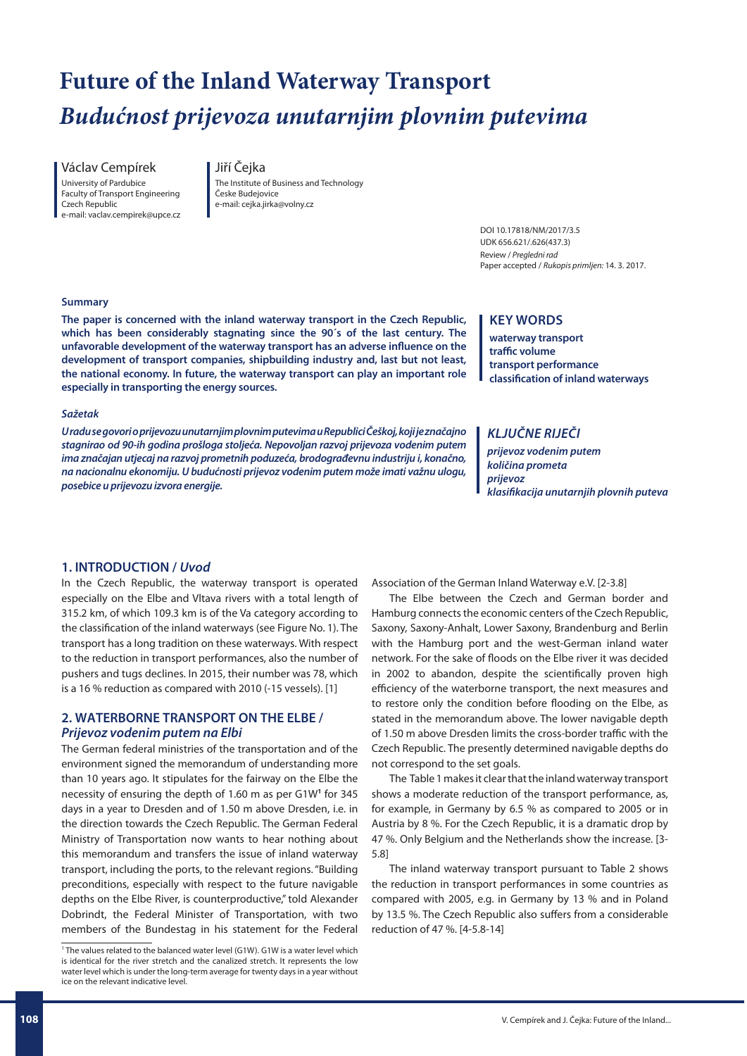# **Future of the Inland Waterway Transport** *Budućnost prijevoza unutarnjim plovnim putevima*

Václav Cempírek University of Pardubice Faculty of Transport Engineering Czech Republic e-mail: vaclav.cempirek@upce.cz

# Jiří Čejka

The Institute of Business and Technology Česke Budejovice e-mail: cejka.jirka@volny.cz

> DOI 10.17818/NM/2017/3.5 UDK 656.621/.626(437.3) Review / *Pregledni rad* Paper accepted / *Rukopis primljen:* 14. 3. 2017.

#### **Summary**

**The paper is concerned with the inland waterway transport in the Czech Republic, which has been considerably stagnating since the 90´s of the last century. The unfavorable development of the waterway transport has an adverse influence on the development of transport companies, shipbuilding industry and, last but not least, the national economy. In future, the waterway transport can play an important role especially in transporting the energy sources.**

#### *Sažetak*

*U radu se govori o prijevozu unutarnjim plovnim putevima u Republici Češkoj, koji je značajno stagnirao od 90-ih godina prošloga stoljeća. Nepovoljan razvoj prijevoza vodenim putem ima značajan utjecaj na razvoj prometnih poduzeća, brodograđevnu industriju i, konačno, na nacionalnu ekonomiju. U budućnosti prijevoz vodenim putem može imati važnu ulogu, posebice u prijevozu izvora energije.*

# **KEY WORDS**

**waterway transport traffic volume transport performance classification of inland waterways**

# *KLJUČNE RIJEČI*

*prijevoz vodenim putem količina prometa prijevoz klasifikacija unutarnjih plovnih puteva*

#### **1. INTRODUCTION /** *Uvod*

In the Czech Republic, the waterway transport is operated especially on the Elbe and Vltava rivers with a total length of 315.2 km, of which 109.3 km is of the Va category according to the classification of the inland waterways (see Figure No. 1). The transport has a long tradition on these waterways. With respect to the reduction in transport performances, also the number of pushers and tugs declines. In 2015, their number was 78, which is a 16 % reduction as compared with 2010 (-15 vessels). [1]

# **2. WATERBORNE TRANSPORT ON THE ELBE /**  *Prijevoz vodenim putem na Elbi*

The German federal ministries of the transportation and of the environment signed the memorandum of understanding more than 10 years ago. It stipulates for the fairway on the Elbe the necessity of ensuring the depth of 1.60 m as per G1W**<sup>1</sup>** for 345 days in a year to Dresden and of 1.50 m above Dresden, i.e. in the direction towards the Czech Republic. The German Federal Ministry of Transportation now wants to hear nothing about this memorandum and transfers the issue of inland waterway transport, including the ports, to the relevant regions. "Building preconditions, especially with respect to the future navigable depths on the Elbe River, is counterproductive," told Alexander Dobrindt, the Federal Minister of Transportation, with two members of the Bundestag in his statement for the Federal

Association of the German Inland Waterway e.V. [2-3.8]

The Elbe between the Czech and German border and Hamburg connects the economic centers of the Czech Republic, Saxony, Saxony-Anhalt, Lower Saxony, Brandenburg and Berlin with the Hamburg port and the west-German inland water network. For the sake of floods on the Elbe river it was decided in 2002 to abandon, despite the scientifically proven high efficiency of the waterborne transport, the next measures and to restore only the condition before flooding on the Elbe, as stated in the memorandum above. The lower navigable depth of 1.50 m above Dresden limits the cross-border traffic with the Czech Republic. The presently determined navigable depths do not correspond to the set goals.

The Table 1 makes it clear that the inland waterway transport shows a moderate reduction of the transport performance, as, for example, in Germany by 6.5 % as compared to 2005 or in Austria by 8 %. For the Czech Republic, it is a dramatic drop by 47 %. Only Belgium and the Netherlands show the increase. [3- 5.8]

The inland waterway transport pursuant to Table 2 shows the reduction in transport performances in some countries as compared with 2005, e.g. in Germany by 13 % and in Poland by 13.5 %. The Czech Republic also suffers from a considerable reduction of 47 %. [4-5.8-14]

<sup>&</sup>lt;sup>1</sup> The values related to the balanced water level (G1W). G1W is a water level which is identical for the river stretch and the canalized stretch. It represents the low water level which is under the long-term average for twenty days in a year without ice on the relevant indicative level.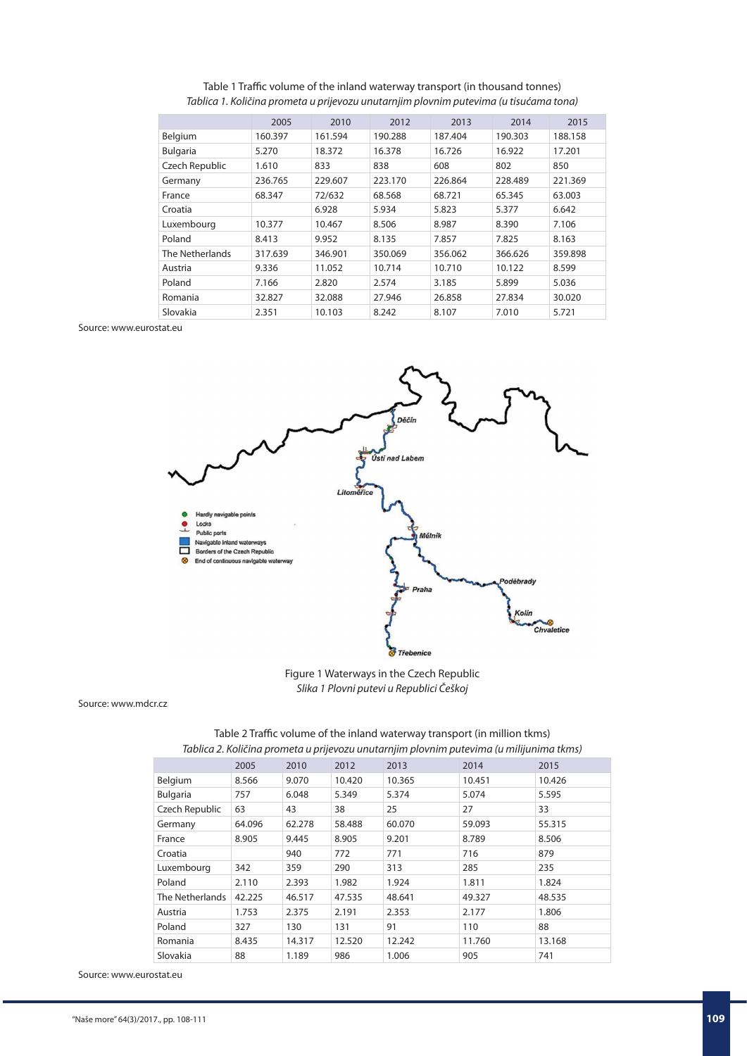Table 1 Traffic volume of the inland waterway transport (in thousand tonnes) *Tablica 1. Količina prometa u prijevozu unutarnjim plovnim putevima (u tisućama tona)*

|                 | 2005    | 2010    | 2012    | 2013    | 2014    | 2015    |
|-----------------|---------|---------|---------|---------|---------|---------|
| Belgium         | 160.397 | 161.594 | 190.288 | 187.404 | 190.303 | 188.158 |
| <b>Bulgaria</b> | 5.270   | 18.372  | 16.378  | 16.726  | 16.922  | 17.201  |
| Czech Republic  | 1.610   | 833     | 838     | 608     | 802     | 850     |
| Germany         | 236.765 | 229.607 | 223.170 | 226.864 | 228.489 | 221.369 |
| France          | 68.347  | 72/632  | 68.568  | 68.721  | 65.345  | 63.003  |
| Croatia         |         | 6.928   | 5.934   | 5.823   | 5.377   | 6.642   |
| Luxembourg      | 10.377  | 10.467  | 8.506   | 8.987   | 8.390   | 7.106   |
| Poland          | 8.413   | 9.952   | 8.135   | 7.857   | 7.825   | 8.163   |
| The Netherlands | 317.639 | 346.901 | 350.069 | 356.062 | 366.626 | 359.898 |
| Austria         | 9.336   | 11.052  | 10.714  | 10.710  | 10.122  | 8.599   |
| Poland          | 7.166   | 2.820   | 2.574   | 3.185   | 5.899   | 5.036   |
| Romania         | 32.827  | 32.088  | 27.946  | 26.858  | 27.834  | 30.020  |
| Slovakia        | 2.351   | 10.103  | 8.242   | 8.107   | 7.010   | 5.721   |

Source: www.eurostat.eu



Figure 1 Waterways in the Czech Republic *Slika 1 Plovni putevi u Republici Češkoj*

Source: www.mdcr.cz

|                 | 2005   | 2010   | 2012   | 2013   | 2014   | 2015   |  |  |  |  |
|-----------------|--------|--------|--------|--------|--------|--------|--|--|--|--|
| Belgium         | 8.566  | 9.070  | 10.420 | 10.365 | 10.451 | 10.426 |  |  |  |  |
| Bulgaria        | 757    | 6.048  | 5.349  | 5.374  | 5.074  | 5.595  |  |  |  |  |
| Czech Republic  | 63     | 43     | 38     | 25     | 27     | 33     |  |  |  |  |
| Germany         | 64.096 | 62.278 | 58.488 | 60.070 | 59.093 | 55.315 |  |  |  |  |
| France          | 8.905  | 9.445  | 8.905  | 9.201  | 8.789  | 8.506  |  |  |  |  |
| Croatia         |        | 940    | 772    | 771    | 716    | 879    |  |  |  |  |
| Luxembourg      | 342    | 359    | 290    | 313    | 285    | 235    |  |  |  |  |
| Poland          | 2.110  | 2.393  | 1.982  | 1.924  | 1.811  | 1.824  |  |  |  |  |
| The Netherlands | 42.225 | 46.517 | 47.535 | 48.641 | 49.327 | 48.535 |  |  |  |  |
| Austria         | 1.753  | 2.375  | 2.191  | 2.353  | 2.177  | 1.806  |  |  |  |  |
| Poland          | 327    | 130    | 131    | 91     | 110    | 88     |  |  |  |  |
| Romania         | 8.435  | 14.317 | 12.520 | 12.242 | 11.760 | 13.168 |  |  |  |  |
| Slovakia        | 88     | 1.189  | 986    | 1.006  | 905    | 741    |  |  |  |  |

Table 2 Traffic volume of the inland waterway transport (in million tkms) *Tablica 2. Količina prometa u prijevozu unutarnjim plovnim putevima (u milijunima tkms)*

Source: www.eurostat.eu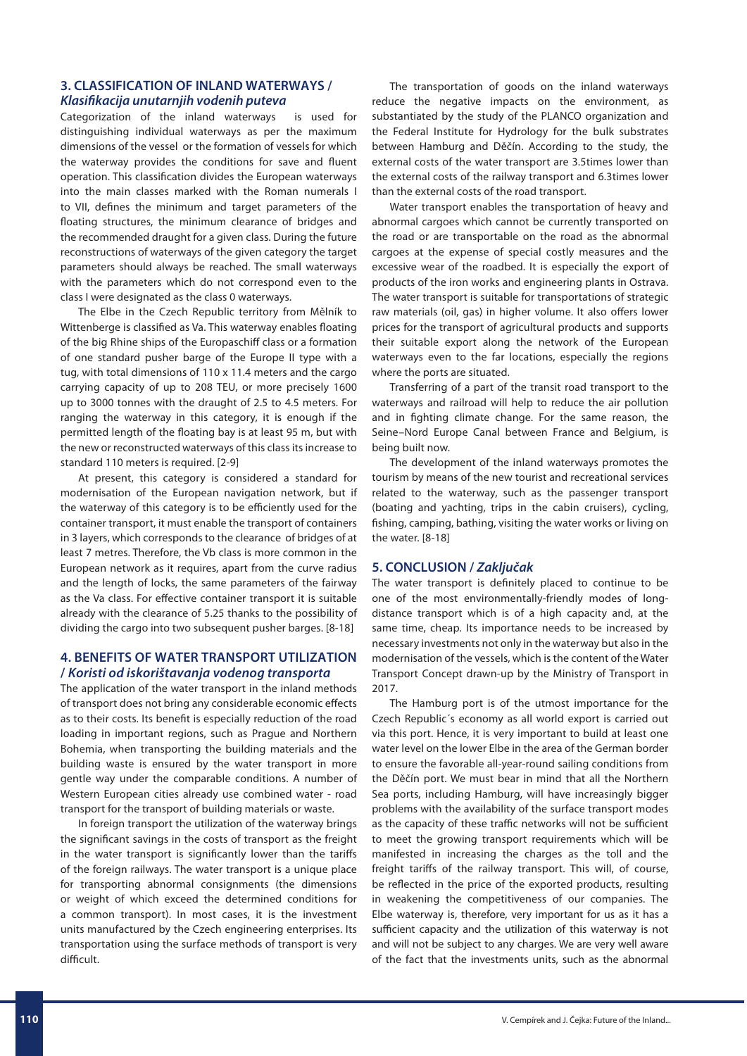# **3. CLASSIFICATION OF INLAND WATERWAYS /**  *Klasifikacija unutarnjih vodenih puteva*

Categorization of the inland waterways is used for distinguishing individual waterways as per the maximum dimensions of the vessel or the formation of vessels for which the waterway provides the conditions for save and fluent operation. This classification divides the European waterways into the main classes marked with the Roman numerals I to VII, defines the minimum and target parameters of the floating structures, the minimum clearance of bridges and the recommended draught for a given class. During the future reconstructions of waterways of the given category the target parameters should always be reached. The small waterways with the parameters which do not correspond even to the class I were designated as the class 0 waterways.

The Elbe in the Czech Republic territory from Mělník to Wittenberge is classified as Va. This waterway enables floating of the big Rhine ships of the Europaschiff class or a formation of one standard pusher barge of the Europe II type with a tug, with total dimensions of 110 x 11.4 meters and the cargo carrying capacity of up to 208 TEU, or more precisely 1600 up to 3000 tonnes with the draught of 2.5 to 4.5 meters. For ranging the waterway in this category, it is enough if the permitted length of the floating bay is at least 95 m, but with the new or reconstructed waterways of this class its increase to standard 110 meters is required. [2-9]

At present, this category is considered a standard for modernisation of the European navigation network, but if the waterway of this category is to be efficiently used for the container transport, it must enable the transport of containers in 3 layers, which corresponds to the clearance of bridges of at least 7 metres. Therefore, the Vb class is more common in the European network as it requires, apart from the curve radius and the length of locks, the same parameters of the fairway as the Va class. For effective container transport it is suitable already with the clearance of 5.25 thanks to the possibility of dividing the cargo into two subsequent pusher barges. [8-18]

# **4. BENEFITS OF WATER TRANSPORT UTILIZATION /** *Koristi od iskorištavanja vodenog transporta*

The application of the water transport in the inland methods of transport does not bring any considerable economic effects as to their costs. Its benefit is especially reduction of the road loading in important regions, such as Prague and Northern Bohemia, when transporting the building materials and the building waste is ensured by the water transport in more gentle way under the comparable conditions. A number of Western European cities already use combined water - road transport for the transport of building materials or waste.

In foreign transport the utilization of the waterway brings the significant savings in the costs of transport as the freight in the water transport is significantly lower than the tariffs of the foreign railways. The water transport is a unique place for transporting abnormal consignments (the dimensions or weight of which exceed the determined conditions for a common transport). In most cases, it is the investment units manufactured by the Czech engineering enterprises. Its transportation using the surface methods of transport is very difficult.

The transportation of goods on the inland waterways reduce the negative impacts on the environment, as substantiated by the study of the PLANCO organization and the Federal Institute for Hydrology for the bulk substrates between Hamburg and Děčín. According to the study, the external costs of the water transport are 3.5times lower than the external costs of the railway transport and 6.3times lower than the external costs of the road transport.

Water transport enables the transportation of heavy and abnormal cargoes which cannot be currently transported on the road or are transportable on the road as the abnormal cargoes at the expense of special costly measures and the excessive wear of the roadbed. It is especially the export of products of the iron works and engineering plants in Ostrava. The water transport is suitable for transportations of strategic raw materials (oil, gas) in higher volume. It also offers lower prices for the transport of agricultural products and supports their suitable export along the network of the European waterways even to the far locations, especially the regions where the ports are situated.

Transferring of a part of the transit road transport to the waterways and railroad will help to reduce the air pollution and in fighting climate change. For the same reason, the Seine–Nord Europe Canal between France and Belgium, is being built now.

The development of the inland waterways promotes the tourism by means of the new tourist and recreational services related to the waterway, such as the passenger transport (boating and yachting, trips in the cabin cruisers), cycling, fishing, camping, bathing, visiting the water works or living on the water. [8-18]

### **5. CONCLUSION /** *Zaključak*

The water transport is definitely placed to continue to be one of the most environmentally-friendly modes of longdistance transport which is of a high capacity and, at the same time, cheap. Its importance needs to be increased by necessary investments not only in the waterway but also in the modernisation of the vessels, which is the content of the Water Transport Concept drawn-up by the Ministry of Transport in 2017.

The Hamburg port is of the utmost importance for the Czech Republic´s economy as all world export is carried out via this port. Hence, it is very important to build at least one water level on the lower Elbe in the area of the German border to ensure the favorable all-year-round sailing conditions from the Děčín port. We must bear in mind that all the Northern Sea ports, including Hamburg, will have increasingly bigger problems with the availability of the surface transport modes as the capacity of these traffic networks will not be sufficient to meet the growing transport requirements which will be manifested in increasing the charges as the toll and the freight tariffs of the railway transport. This will, of course, be reflected in the price of the exported products, resulting in weakening the competitiveness of our companies. The Elbe waterway is, therefore, very important for us as it has a sufficient capacity and the utilization of this waterway is not and will not be subject to any charges. We are very well aware of the fact that the investments units, such as the abnormal